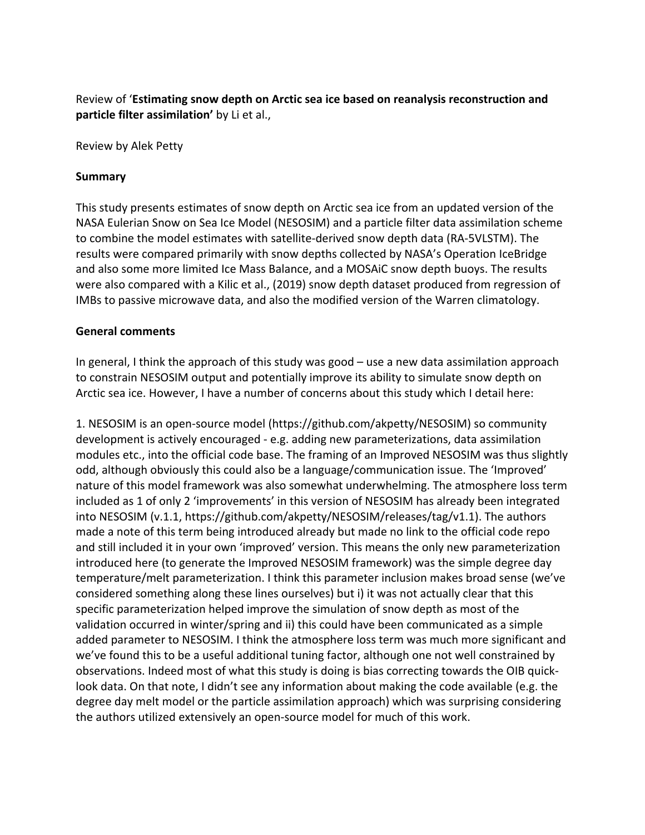Review of '**Estimating snow depth on Arctic sea ice based on reanalysis reconstruction and particle filter assimilation'** by Li et al.,

Review by Alek Petty

## **Summary**

This study presents estimates of snow depth on Arctic sea ice from an updated version of the NASA Eulerian Snow on Sea Ice Model (NESOSIM) and a particle filter data assimilation scheme to combine the model estimates with satellite-derived snow depth data (RA-5VLSTM). The results were compared primarily with snow depths collected by NASA's Operation IceBridge and also some more limited Ice Mass Balance, and a MOSAiC snow depth buoys. The results were also compared with a Kilic et al., (2019) snow depth dataset produced from regression of IMBs to passive microwave data, and also the modified version of the Warren climatology.

## **General comments**

In general, I think the approach of this study was good – use a new data assimilation approach to constrain NESOSIM output and potentially improve its ability to simulate snow depth on Arctic sea ice. However, I have a number of concerns about this study which I detail here:

1. NESOSIM is an open-source model (https://github.com/akpetty/NESOSIM) so community development is actively encouraged - e.g. adding new parameterizations, data assimilation modules etc., into the official code base. The framing of an Improved NESOSIM was thus slightly odd, although obviously this could also be a language/communication issue. The 'Improved' nature of this model framework was also somewhat underwhelming. The atmosphere loss term included as 1 of only 2 'improvements' in this version of NESOSIM has already been integrated into NESOSIM (v.1.1, https://github.com/akpetty/NESOSIM/releases/tag/v1.1). The authors made a note of this term being introduced already but made no link to the official code repo and still included it in your own 'improved' version. This means the only new parameterization introduced here (to generate the Improved NESOSIM framework) was the simple degree day temperature/melt parameterization. I think this parameter inclusion makes broad sense (we've considered something along these lines ourselves) but i) it was not actually clear that this specific parameterization helped improve the simulation of snow depth as most of the validation occurred in winter/spring and ii) this could have been communicated as a simple added parameter to NESOSIM. I think the atmosphere loss term was much more significant and we've found this to be a useful additional tuning factor, although one not well constrained by observations. Indeed most of what this study is doing is bias correcting towards the OIB quicklook data. On that note, I didn't see any information about making the code available (e.g. the degree day melt model or the particle assimilation approach) which was surprising considering the authors utilized extensively an open-source model for much of this work.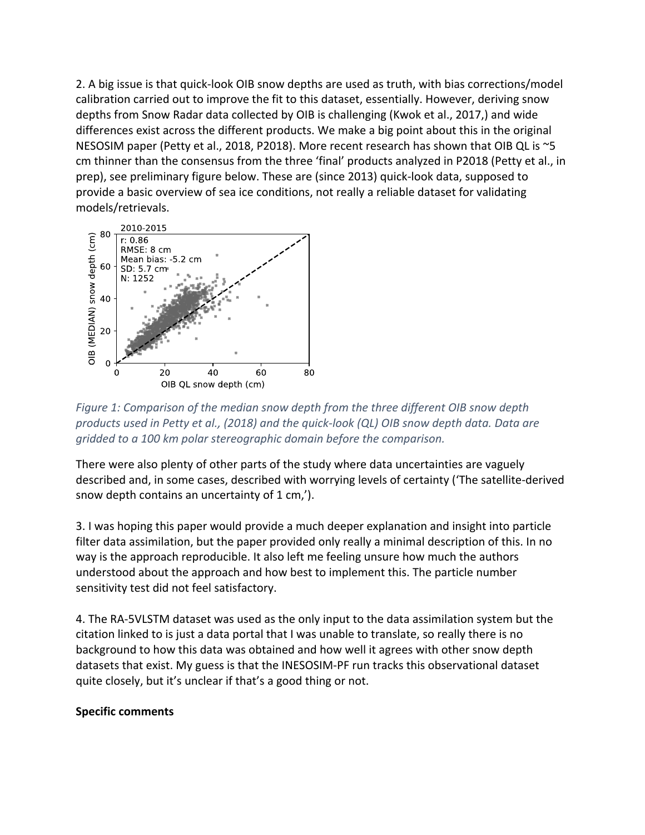2. A big issue is that quick-look OIB snow depths are used as truth, with bias corrections/model calibration carried out to improve the fit to this dataset, essentially. However, deriving snow depths from Snow Radar data collected by OIB is challenging (Kwok et al., 2017,) and wide differences exist across the different products. We make a big point about this in the original NESOSIM paper (Petty et al., 2018, P2018). More recent research has shown that OIB QL is ~5 cm thinner than the consensus from the three 'final' products analyzed in P2018 (Petty et al., in prep), see preliminary figure below. These are (since 2013) quick-look data, supposed to provide a basic overview of sea ice conditions, not really a reliable dataset for validating models/retrievals.



*Figure 1: Comparison of the median snow depth from the three different OIB snow depth products used in Petty et al., (2018) and the quick-look (QL) OIB snow depth data. Data are gridded to a 100 km polar stereographic domain before the comparison.*

There were also plenty of other parts of the study where data uncertainties are vaguely described and, in some cases, described with worrying levels of certainty ('The satellite-derived snow depth contains an uncertainty of 1 cm,').

3. I was hoping this paper would provide a much deeper explanation and insight into particle filter data assimilation, but the paper provided only really a minimal description of this. In no way is the approach reproducible. It also left me feeling unsure how much the authors understood about the approach and how best to implement this. The particle number sensitivity test did not feel satisfactory.

4. The RA-5VLSTM dataset was used as the only input to the data assimilation system but the citation linked to is just a data portal that I was unable to translate, so really there is no background to how this data was obtained and how well it agrees with other snow depth datasets that exist. My guess is that the INESOSIM-PF run tracks this observational dataset quite closely, but it's unclear if that's a good thing or not.

## **Specific comments**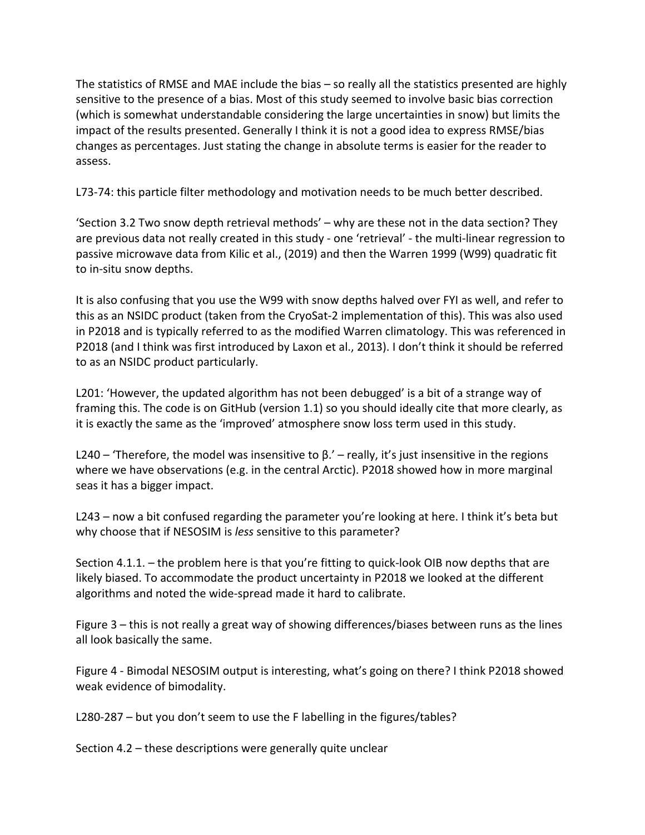The statistics of RMSE and MAE include the bias – so really all the statistics presented are highly sensitive to the presence of a bias. Most of this study seemed to involve basic bias correction (which is somewhat understandable considering the large uncertainties in snow) but limits the impact of the results presented. Generally I think it is not a good idea to express RMSE/bias changes as percentages. Just stating the change in absolute terms is easier for the reader to assess.

L73-74: this particle filter methodology and motivation needs to be much better described.

'Section 3.2 Two snow depth retrieval methods' – why are these not in the data section? They are previous data not really created in this study - one 'retrieval' - the multi-linear regression to passive microwave data from Kilic et al., (2019) and then the Warren 1999 (W99) quadratic fit to in-situ snow depths.

It is also confusing that you use the W99 with snow depths halved over FYI as well, and refer to this as an NSIDC product (taken from the CryoSat-2 implementation of this). This was also used in P2018 and is typically referred to as the modified Warren climatology. This was referenced in P2018 (and I think was first introduced by Laxon et al., 2013). I don't think it should be referred to as an NSIDC product particularly.

L201: 'However, the updated algorithm has not been debugged' is a bit of a strange way of framing this. The code is on GitHub (version 1.1) so you should ideally cite that more clearly, as it is exactly the same as the 'improved' atmosphere snow loss term used in this study.

L240 – 'Therefore, the model was insensitive to  $\beta$ .' – really, it's just insensitive in the regions where we have observations (e.g. in the central Arctic). P2018 showed how in more marginal seas it has a bigger impact.

L243 – now a bit confused regarding the parameter you're looking at here. I think it's beta but why choose that if NESOSIM is *less* sensitive to this parameter?

Section 4.1.1. – the problem here is that you're fitting to quick-look OIB now depths that are likely biased. To accommodate the product uncertainty in P2018 we looked at the different algorithms and noted the wide-spread made it hard to calibrate.

Figure 3 – this is not really a great way of showing differences/biases between runs as the lines all look basically the same.

Figure 4 - Bimodal NESOSIM output is interesting, what's going on there? I think P2018 showed weak evidence of bimodality.

L280-287 – but you don't seem to use the F labelling in the figures/tables?

Section 4.2 – these descriptions were generally quite unclear